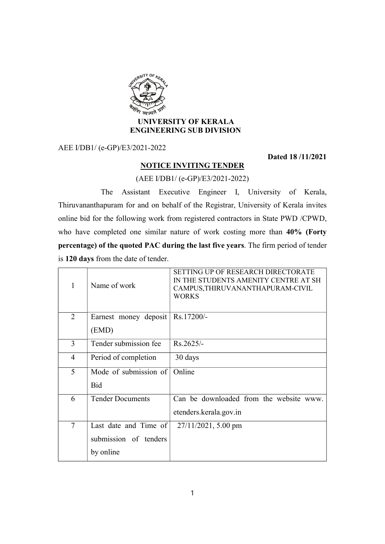

## UNIVERSITY OF KERALA ENGINEERING SUB DIVISION

AEE I/DB1/ (e-GP)/E3/2021-2022

Dated 18 /11/2021

## NOTICE INVITING TENDER

(AEE I/DB1/ (e-GP)/E3/2021-2022)

 The Assistant Executive Engineer I, University of Kerala, Thiruvananthapuram for and on behalf of the Registrar, University of Kerala invites online bid for the following work from registered contractors in State PWD /CPWD, who have completed one similar nature of work costing more than 40% (Forty percentage) of the quoted PAC during the last five years. The firm period of tender is 120 days from the date of tender.

| 1      | Name of work            | SETTING UP OF RESEARCH DIRECTORATE<br>IN THE STUDENTS AMENITY CENTRE AT SH<br>CAMPUS, THIRUVANANTHAPURAM-CIVIL<br><b>WORKS</b> |
|--------|-------------------------|--------------------------------------------------------------------------------------------------------------------------------|
| 2      | Earnest money deposit   | Rs.17200/-                                                                                                                     |
|        | (EMD)                   |                                                                                                                                |
| 3      | Tender submission fee   | $Rs.2625/-$                                                                                                                    |
| 4      | Period of completion    | 30 days                                                                                                                        |
| 5      | Mode of submission of   | Online                                                                                                                         |
|        | <b>Bid</b>              |                                                                                                                                |
| 6      | <b>Tender Documents</b> | Can be downloaded from the website www.                                                                                        |
|        |                         | etenders.kerala.gov.in                                                                                                         |
| $\tau$ | Last date and Time of   | $27/11/2021$ , 5.00 pm                                                                                                         |
|        | submission of tenders   |                                                                                                                                |
|        | by online               |                                                                                                                                |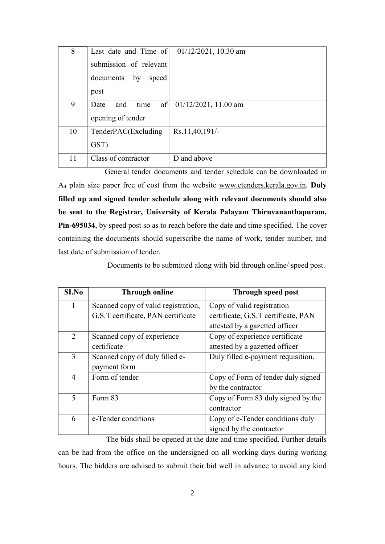| 8  | Last date and Time of          | $01/12/2021$ , 10.30 am |
|----|--------------------------------|-------------------------|
|    | submission of relevant         |                         |
|    | documents by<br>speed          |                         |
|    | post                           |                         |
| 9  | $of \vert$<br>and time<br>Date | $01/12/2021$ , 11.00 am |
|    | opening of tender              |                         |
| 10 | TenderPAC(Excluding            | Rs.11,40,191/-          |
|    | GST)                           |                         |
| 11 | Class of contractor            | D and above             |

General tender documents and tender schedule can be downloaded in A<sup>4</sup> plain size paper free of cost from the website www.etenders.kerala.gov.in. Duly filled up and signed tender schedule along with relevant documents should also be sent to the Registrar, University of Kerala Palayam Thiruvananthapuram, Pin-695034, by speed post so as to reach before the date and time specified. The cover containing the documents should superscribe the name of work, tender number, and last date of submission of tender.

Documents to be submitted along with bid through online/ speed post.

| S <sub>I.No</sub> | <b>Through online</b>               | Through speed post                  |
|-------------------|-------------------------------------|-------------------------------------|
| 1                 | Scanned copy of valid registration, | Copy of valid registration          |
|                   | G.S.T certificate, PAN certificate  | certificate, G.S.T certificate, PAN |
|                   |                                     | attested by a gazetted officer      |
| 2                 | Scanned copy of experience          | Copy of experience certificate      |
|                   | certificate                         | attested by a gazetted officer      |
| 3                 | Scanned copy of duly filled e-      | Duly filled e-payment requisition.  |
|                   | payment form                        |                                     |
| 4                 | Form of tender                      | Copy of Form of tender duly signed  |
|                   |                                     | by the contractor                   |
| 5                 | Form 83                             | Copy of Form 83 duly signed by the  |
|                   |                                     | contractor                          |
| 6                 | e-Tender conditions                 | Copy of e-Tender conditions duly    |
|                   |                                     | signed by the contractor            |

The bids shall be opened at the date and time specified. Further details can be had from the office on the undersigned on all working days during working hours. The bidders are advised to submit their bid well in advance to avoid any kind